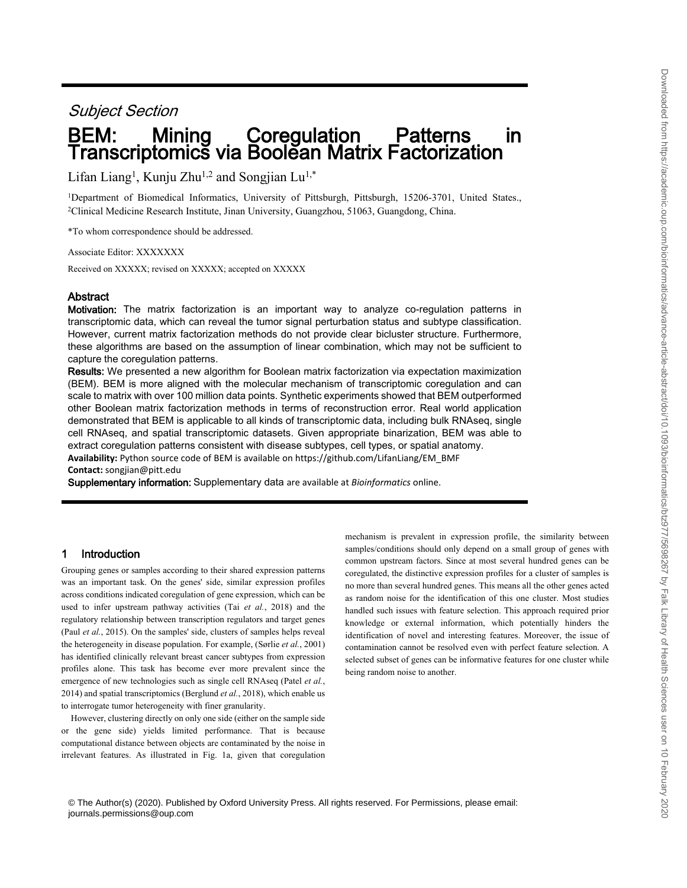# *Subject Section*

# **BEM: Mining Coregulation Patterns in Transcriptomics via Boolean Matrix Factorization**

Lifan Liang<sup>1</sup> , Kunju Zhu1,2 and Songjian Lu1,\*

<sup>1</sup>Department of Biomedical Informatics, University of Pittsburgh, Pittsburgh, 15206-3701, United States., <sup>2</sup>Clinical Medicine Research Institute, Jinan University, Guangzhou, 51063, Guangdong, China.

\*To whom correspondence should be addressed.

Associate Editor: XXXXXXX

Received on XXXXX; revised on XXXXX; accepted on XXXXX

# **Abstract**

**Motivation:** The matrix factorization is an important way to analyze co-regulation patterns in transcriptomic data, which can reveal the tumor signal perturbation status and subtype classification. However, current matrix factorization methods do not provide clear bicluster structure. Furthermore, these algorithms are based on the assumption of linear combination, which may not be sufficient to capture the coregulation patterns.

**Results:** We presented a new algorithm for Boolean matrix factorization via expectation maximization (BEM). BEM is more aligned with the molecular mechanism of transcriptomic coregulation and can scale to matrix with over 100 million data points. Synthetic experiments showed that BEM outperformed other Boolean matrix factorization methods in terms of reconstruction error. Real world application demonstrated that BEM is applicable to all kinds of transcriptomic data, including bulk RNAseq, single cell RNAseq, and spatial transcriptomic datasets. Given appropriate binarization, BEM was able to extract coregulation patterns consistent with disease subtypes, cell types, or spatial anatomy. **Availability:** Python source code of BEM is available on https://github.com/LifanLiang/EM\_BMF **Contact:** songjian@pitt.edu

**Supplementary information:** Supplementary data are available at *Bioinformatics* online.

# **1 Introduction**

Grouping genes or samples according to their shared expression patterns was an important task. On the genes' side, similar expression profiles across conditions indicated coregulation of gene expression, which can be used to infer upstream pathway activities (Tai *et al.*, 2018) and the regulatory relationship between transcription regulators and target genes (Paul *et al.*, 2015). On the samples' side, clusters of samples helps reveal the heterogeneity in disease population. For example, (Sørlie *et al.*, 2001) has identified clinically relevant breast cancer subtypes from expression profiles alone. This task has become ever more prevalent since the emergence of new technologies such as single cell RNAseq (Patel *et al.*, 2014) and spatial transcriptomics (Berglund *et al.*, 2018), which enable us to interrogate tumor heterogeneity with finer granularity.

However, clustering directly on only one side (either on the sample side or the gene side) yields limited performance. That is because computational distance between objects are contaminated by the noise in irrelevant features. As illustrated in Fig. 1a, given that coregulation mechanism is prevalent in expression profile, the similarity between samples/conditions should only depend on a small group of genes with common upstream factors. Since at most several hundred genes can be coregulated, the distinctive expression profiles for a cluster of samples is no more than several hundred genes. This means all the other genes acted as random noise for the identification of this one cluster. Most studies handled such issues with feature selection. This approach required prior knowledge or external information, which potentially hinders the identification of novel and interesting features. Moreover, the issue of contamination cannot be resolved even with perfect feature selection. A selected subset of genes can be informative features for one cluster while being random noise to another.

© The Author(s) (2020). Published by Oxford University Press. All rights reserved. For Permissions, please email: journals.permissions@oup.com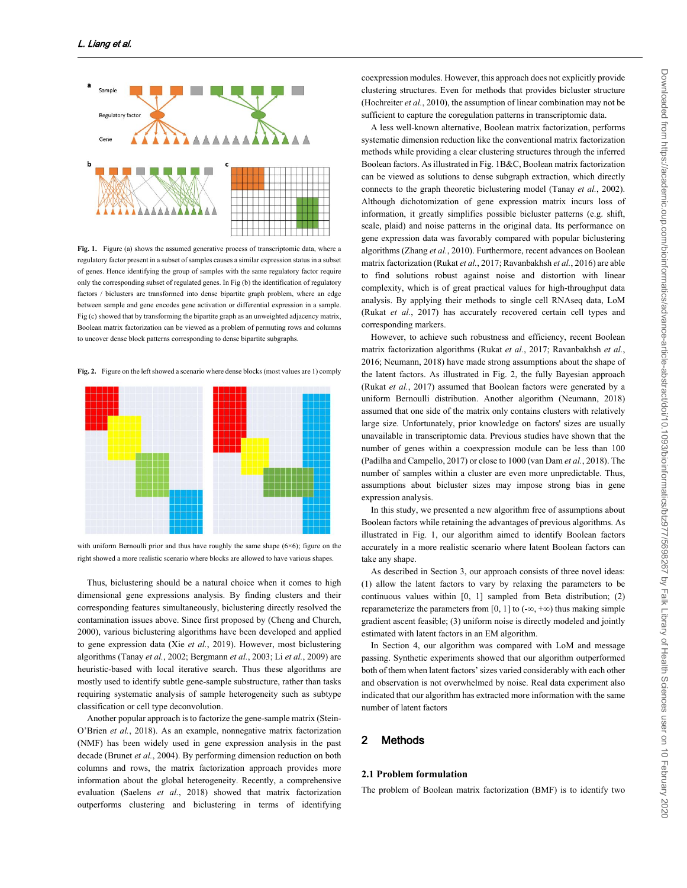

Fig. 1. Figure (a) shows the assumed generative process of transcriptomic data, where a regulatory factor present in a subset of samples causes a similar expression status in a subset of genes. Hence identifying the group of samples with the same regulatory factor require only the corresponding subset of regulated genes. In Fig (b) the identification of regulatory factors / biclusters are transformed into dense binartite graph problem, where an edge between sample and gene encodes gene activation or differential expression in a sample. Fig (c) showed that by transforming the bipartite graph as an unweighted adjacency matrix, Boolean matrix factorization can be viewed as a problem of permuting rows and columns to uncover dense block patterns corresponding to dense bipartite subgraphs.

**Fig. 2.** Figure on the left showed a scenario where dense blocks (most values are 1) comply



with uniform Bernoulli prior and thus have roughly the same shape  $(6×6)$ ; figure on the right showed a more realistic scenario where blocks are allowed to have various shapes.

Thus, biclustering should be a natural choice when it comes to high dimensional gene expressions analysis. By finding clusters and their corresponding features simultaneously, biclustering directly resolved the contamination issues above. Since first proposed by (Cheng and Church, 2000), various biclustering algorithms have been developed and applied to gene expression data (Xie *et al.*, 2019). However, most biclustering algorithms (Tanay *et al.*, 2002; Bergmann *et al.*, 2003; Li *et al.*, 2009) are heuristic-based with local iterative search. Thus these algorithms are mostly used to identify subtle gene-sample substructure, rather than tasks requiring systematic analysis of sample heterogeneity such as subtype classification or cell type deconvolution.

Another popular approach is to factorize the gene-sample matrix (Stein-O'Brien *et al.*, 2018). As an example, nonnegative matrix factorization (NMF) has been widely used in gene expression analysis in the past decade (Brunet *et al.*, 2004). By performing dimension reduction on both columns and rows, the matrix factorization approach provides more information about the global heterogeneity. Recently, a comprehensive evaluation (Saelens *et al.*, 2018) showed that matrix factorization outperforms clustering and biclustering in terms of identifying

coexpression modules. However, this approach does not explicitly provide clustering structures. Even for methods that provides bicluster structure (Hochreiter *et al.*, 2010), the assumption of linear combination may not be sufficient to capture the coregulation patterns in transcriptomic data.

A less well-known alternative, Boolean matrix factorization, performs systematic dimension reduction like the conventional matrix factorization methods while providing a clear clustering structures through the inferred Boolean factors. As illustrated in Fig. 1B&C, Boolean matrix factorization can be viewed as solutions to dense subgraph extraction, which directly connects to the graph theoretic biclustering model (Tanay *et al.*, 2002). Although dichotomization of gene expression matrix incurs loss of information, it greatly simplifies possible bicluster patterns (e.g. shift, scale, plaid) and noise patterns in the original data. Its performance on gene expression data was favorably compared with popular biclustering algorithms (Zhang *et al.*, 2010). Furthermore, recent advances on Boolean matrix factorization (Rukat *et al.*, 2017; Ravanbakhsh *et al.*, 2016) are able to find solutions robust against noise and distortion with linear complexity, which is of great practical values for high-throughput data analysis. By applying their methods to single cell RNAseq data, LoM (Rukat *et al.*, 2017) has accurately recovered certain cell types and corresponding markers.

However, to achieve such robustness and efficiency, recent Boolean matrix factorization algorithms (Rukat *et al.*, 2017; Ravanbakhsh *et al.*, 2016; Neumann, 2018) have made strong assumptions about the shape of the latent factors. As illustrated in Fig. 2, the fully Bayesian approach (Rukat *et al.*, 2017) assumed that Boolean factors were generated by a uniform Bernoulli distribution. Another algorithm (Neumann, 2018) assumed that one side of the matrix only contains clusters with relatively large size. Unfortunately, prior knowledge on factors' sizes are usually unavailable in transcriptomic data. Previous studies have shown that the number of genes within a coexpression module can be less than 100 (Padilha and Campello, 2017) or close to 1000 (van Dam *et al.*, 2018). The number of samples within a cluster are even more unpredictable. Thus, assumptions about bicluster sizes may impose strong bias in gene expression analysis.

In this study, we presented a new algorithm free of assumptions about Boolean factors while retaining the advantages of previous algorithms. As illustrated in Fig. 1, our algorithm aimed to identify Boolean factors accurately in a more realistic scenario where latent Boolean factors can take any shape.

As described in Section 3, our approach consists of three novel ideas: (1) allow the latent factors to vary by relaxing the parameters to be continuous values within [0, 1] sampled from Beta distribution; (2) reparameterize the parameters from [0, 1] to  $(-\infty, +\infty)$  thus making simple gradient ascent feasible; (3) uniform noise is directly modeled and jointly estimated with latent factors in an EM algorithm.

In Section 4, our algorithm was compared with LoM and message passing. Synthetic experiments showed that our algorithm outperformed both of them when latent factors' sizes varied considerably with each other and observation is not overwhelmed by noise. Real data experiment also indicated that our algorithm has extracted more information with the same number of latent factors

# **2 Methods**

## **2.1 Problem formulation**

The problem of Boolean matrix factorization (BMF) is to identify two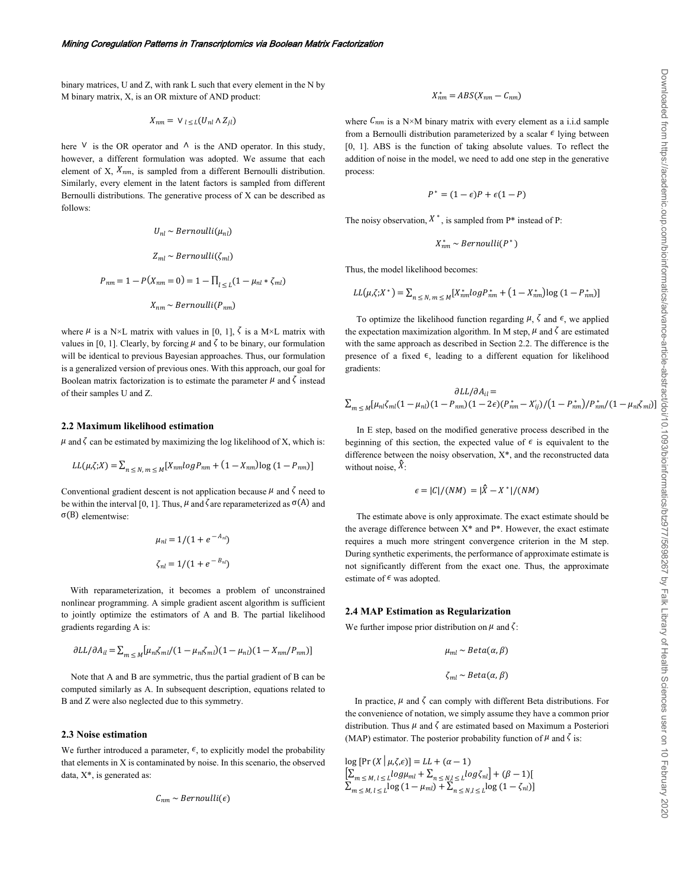binary matrices, U and Z, with rank L such that every element in the N by M binary matrix, X, is an OR mixture of AND product:

$$
X_{nm} = \vee_{l \leq L} (U_{nl} \wedge Z_{jl})
$$

here  $\vee$  is the OR operator and  $\wedge$  is the AND operator. In this study, however, a different formulation was adopted. We assume that each element of X,  $X_{nm}$ , is sampled from a different Bernoulli distribution. Similarly, every element in the latent factors is sampled from different Bernoulli distributions. The generative process of X can be described as follows:

$$
U_{nl} \sim Bernoulli(\mu_{nl})
$$
  
\n
$$
Z_{ml} \sim Bernoulli(\zeta_{ml})
$$
  
\n
$$
P_{nm} = 1 - P(X_{nm} = 0) = 1 - \prod_{l \le L} (1 - \mu_{nl} * \zeta_{ml})
$$
  
\n
$$
X_{nm} \sim Bernoulli(P_{nm})
$$

where  $\mu$  is a N×L matrix with values in [0, 1],  $\zeta$  is a M×L matrix with values in [0, 1]. Clearly, by forcing  $\mu$  and  $\zeta$  to be binary, our formulation will be identical to previous Bayesian approaches. Thus, our formulation is a generalized version of previous ones. With this approach, our goal for Boolean matrix factorization is to estimate the parameter  $\mu$  and  $\zeta$  instead of their samples U and Z.

### **2.2 Maximum likelihood estimation**

 $\mu$  and  $\zeta$  can be estimated by maximizing the log likelihood of X, which is:

$$
LL(\mu,\zeta;X) = \sum_{n \leq N, m \leq M} [X_{nm} \log P_{nm} + (1 - X_{nm}) \log (1 - P_{nm})]
$$

Conventional gradient descent is not application because  $\mu$  and  $\zeta$  need to be within the interval [0, 1]. Thus,  $\mu$  and  $\zeta$  are reparameterized as  $\sigma(A)$  and σ(B) elementwise:

$$
\mu_{nl} = 1/(1 + e^{-A_{nl}})
$$
  

$$
\zeta_{nl} = 1/(1 + e^{-B_{nl}})
$$

 With reparameterization, it becomes a problem of unconstrained nonlinear programming. A simple gradient ascent algorithm is sufficient to jointly optimize the estimators of A and B. The partial likelihood gradients regarding A is:

$$
\partial LL/\partial A_{il} = \sum_{m \leq M} \left[ \mu_{nl} \zeta_{ml} / (1 - \mu_{nl} \zeta_{ml}) (1 - \mu_{nl}) (1 - X_{nm} / P_{nm}) \right]
$$

Note that A and B are symmetric, thus the partial gradient of B can be computed similarly as A. In subsequent description, equations related to B and Z were also neglected due to this symmetry.

### **2.3 Noise estimation**

We further introduced a parameter,  $\epsilon$ , to explicitly model the probability that elements in X is contaminated by noise. In this scenario, the observed data,  $X^*$ , is generated as:

$$
C_{nm} \sim Bernoulli(\epsilon)
$$

$$
X_{nm}^* = ABS(X_{nm} - C_{nm})
$$

where  $C_{nm}$  is a N×M binary matrix with every element as a i.i.d sample from a Bernoulli distribution parameterized by a scalar  $\epsilon$  lying between [0, 1]. ABS is the function of taking absolute values. To reflect the addition of noise in the model, we need to add one step in the generative process:

$$
P^*=(1-\epsilon)P+\epsilon(1-P)
$$

The noisy observation,  $X^*$ , is sampled from  $P^*$  instead of P:

$$
X_{nm}^* \sim Bernoulli(P^*)
$$

Thus, the model likelihood becomes:

$$
LL(\mu,\zeta;X^*) = \sum_{n \le N, m \le M} [X^*_{nm} log P^*_{nm} + (1 - X^*_{nm}) log (1 - P^*_{nm})]
$$

To optimize the likelihood function regarding  $\mu$ ,  $\zeta$  and  $\epsilon$ , we applied the expectation maximization algorithm. In M step,  $\mu$  and  $\zeta$  are estimated with the same approach as described in Section 2.2. The difference is the presence of a fixed  $\epsilon$ , leading to a different equation for likelihood gradients:

$$
\frac{\partial LL/\partial A_{il}}{\partial x_{m} \leq M} = \frac{\partial LL/\partial A_{il}}{\partial x_{m} \leq M} \left[ \mu_{nl} \zeta_{ml} (1 - \mu_{nl}) (1 - P_{nm}) (1 - 2\epsilon) (P_{nm}^{*} - X_{ij}') / (1 - P_{nm}^{*}) / P_{nm}^{*} / (1 - \mu_{nl} \zeta_{ml}) \right]
$$

 In E step, based on the modified generative process described in the beginning of this section, the expected value of  $\epsilon$  is equivalent to the difference between the noisy observation, X\*, and the reconstructed data without noise,  $\overline{X}$ :

$$
\epsilon = |C|/(NM) = |\hat{X} - X^*|/(NM)
$$

 The estimate above is only approximate. The exact estimate should be the average difference between  $X^*$  and  $P^*$ . However, the exact estimate requires a much more stringent convergence criterion in the M step. During synthetic experiments, the performance of approximate estimate is not significantly different from the exact one. Thus, the approximate estimate of  $\epsilon$  was adopted.

#### **2.4 MAP Estimation as Regularization**

We further impose prior distribution on  $\mu$  and  $\zeta$ :

$$
\mu_{ml} \sim Beta(\alpha, \beta)
$$

 $\zeta_{ml} \sim Beta(\alpha, \beta)$ 

In practice,  $\mu$  and  $\zeta$  can comply with different Beta distributions. For the convenience of notation, we simply assume they have a common prior distribution. Thus  $\mu$  and  $\zeta$  are estimated based on Maximum a Posteriori (MAP) estimator. The posterior probability function of  $\mu$  and  $\zeta$  is:

 $\log [\Pr(X | \mu, \zeta, \epsilon)] = LL + (\alpha - 1)$  $\left[\sum_{m \leq M, l \leq L} log \mu_{ml} + \sum_{n \leq N, l \leq L} log \zeta_{nl}\right] + (\beta - 1)[$  $\sum_{m \leq M, l \leq L} \log (1 - \mu_{ml}) + \sum_{n \leq N, l \leq L} \log (1 - \zeta_{nl})$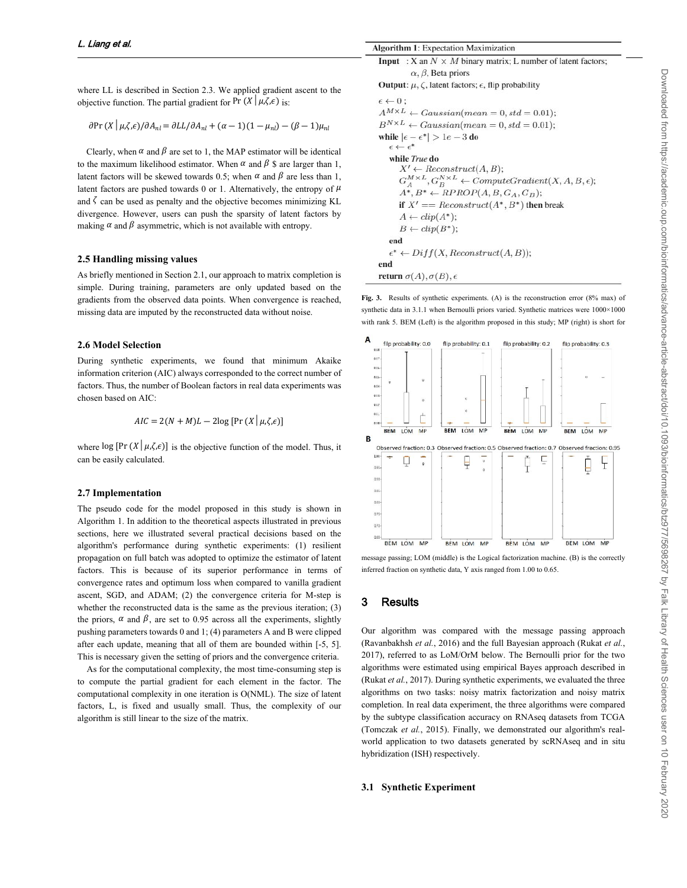where LL is described in Section 2.3. We applied gradient ascent to the objective function. The partial gradient for Pr  $(X | \mu, \zeta, \epsilon)$  is:

$$
\partial \Pr(X | \mu, \zeta, \epsilon) / \partial A_{nl} = \partial L L / \partial A_{nl} + (\alpha - 1)(1 - \mu_{nl}) - (\beta - 1)\mu_{nl}
$$

Clearly, when  $\alpha$  and  $\beta$  are set to 1, the MAP estimator will be identical to the maximum likelihood estimator. When  $\alpha$  and  $\beta$  \$ are larger than 1, latent factors will be skewed towards 0.5; when  $\alpha$  and  $\beta$  are less than 1, latent factors are pushed towards 0 or 1. Alternatively, the entropy of  $\mu$ and  $\zeta$  can be used as penalty and the objective becomes minimizing KL divergence. However, users can push the sparsity of latent factors by making  $\alpha$  and  $\beta$  asymmetric, which is not available with entropy.

#### **2.5 Handling missing values**

As briefly mentioned in Section 2.1, our approach to matrix completion is simple. During training, parameters are only updated based on the gradients from the observed data points. When convergence is reached, missing data are imputed by the reconstructed data without noise.

## **2.6 Model Selection**

During synthetic experiments, we found that minimum Akaike information criterion (AIC) always corresponded to the correct number of factors. Thus, the number of Boolean factors in real data experiments was chosen based on AIC:

$$
AIC = 2(N + M)L - 2\log \left[ \Pr \left( X \mid \mu, \zeta, \epsilon \right) \right]
$$

where  $\log [\Pr(X | \mu, \zeta, \epsilon)]$  is the objective function of the model. Thus, it can be easily calculated.

#### **2.7 Implementation**

The pseudo code for the model proposed in this study is shown in Algorithm 1. In addition to the theoretical aspects illustrated in previous sections, here we illustrated several practical decisions based on the algorithm's performance during synthetic experiments: (1) resilient propagation on full batch was adopted to optimize the estimator of latent factors. This is because of its superior performance in terms of convergence rates and optimum loss when compared to vanilla gradient ascent, SGD, and ADAM; (2) the convergence criteria for M-step is whether the reconstructed data is the same as the previous iteration; (3) the priors,  $\alpha$  and  $\beta$ , are set to 0.95 across all the experiments, slightly pushing parameters towards 0 and 1; (4) parameters A and B were clipped after each update, meaning that all of them are bounded within [-5, 5]. This is necessary given the setting of priors and the convergence criteria.

As for the computational complexity, the most time-consuming step is to compute the partial gradient for each element in the factor. The computational complexity in one iteration is O(NML). The size of latent factors, L, is fixed and usually small. Thus, the complexity of our algorithm is still linear to the size of the matrix.

```
Input : X an N \times M binary matrix; L number of latent factors;
           \alpha, \beta, Beta priors
Output: \mu, \zeta, latent factors; \epsilon, flip probability
\epsilon \leftarrow 0;
A^{M \times L} \leftarrow Gaussian(mean = 0, std = 0.01);B^{N \times L} \leftarrow Gaussian(mean = 0, std = 0.01);while |\epsilon - \epsilon^*| > 1e - 3 do
   \epsilon \leftarrow \epsilon^*while True do
       X' \leftarrow Reconstruct(A, B);G_A^{M \times L}, G_B^{N \times L} \leftarrow ComputeGradient(X, A, B, \epsilon);A^*, B^* \leftarrow RPROP(A, B, G_A, G_B);if X' == Reconstruct(A^*, B^*) then break
       A \leftarrow clip(A^*);
       B \leftarrow clip(B^*);end
   \epsilon^* \leftarrow Diff(X, Reconstruct(A, B));end
return \sigma(A), \sigma(B), \epsilon
```
**Fig. 3.** Results of synthetic experiments. (A) is the reconstruction error (8% max) of synthetic data in 3.1.1 when Bernoulli priors varied. Synthetic matrices were  $1000 \times 1000$ with rank 5. BEM (Left) is the algorithm proposed in this study; MP (right) is short for



message passing; LOM (middle) is the Logical factorization machine. (B) is the correctly inferred fraction on synthetic data, Y axis ranged from 1.00 to 0.65.

## **3 Results**

Our algorithm was compared with the message passing approach (Ravanbakhsh *et al.*, 2016) and the full Bayesian approach (Rukat *et al.*, 2017), referred to as LoM/OrM below. The Bernoulli prior for the two algorithms were estimated using empirical Bayes approach described in (Rukat *et al.*, 2017). During synthetic experiments, we evaluated the three algorithms on two tasks: noisy matrix factorization and noisy matrix completion. In real data experiment, the three algorithms were compared by the subtype classification accuracy on RNAseq datasets from TCGA (Tomczak *et al.*, 2015). Finally, we demonstrated our algorithm's realworld application to two datasets generated by scRNAseq and in situ hybridization (ISH) respectively.

### **3.1 Synthetic Experiment**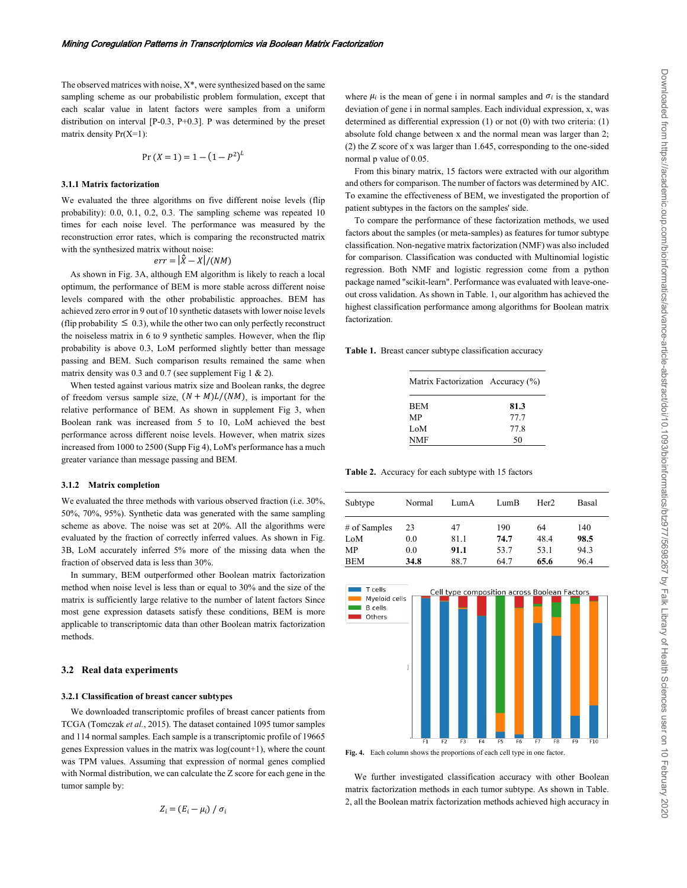The observed matrices with noise, X\*, were synthesized based on the same sampling scheme as our probabilistic problem formulation, except that each scalar value in latent factors were samples from a uniform distribution on interval [P-0.3, P+0.3]. P was determined by the preset matrix density Pr(X=1):

$$
Pr(X = 1) = 1 - (1 - P^2)^L
$$

#### **3.1.1 Matrix factorization**

We evaluated the three algorithms on five different noise levels (flip probability): 0.0, 0.1, 0.2, 0.3. The sampling scheme was repeated 10 times for each noise level. The performance was measured by the reconstruction error rates, which is comparing the reconstructed matrix with the synthesized matrix without noise:

$$
err = |\hat{X} - X|/(NM)
$$

 As shown in Fig. 3A, although EM algorithm is likely to reach a local optimum, the performance of BEM is more stable across different noise levels compared with the other probabilistic approaches. BEM has achieved zero error in 9 out of 10 synthetic datasets with lower noise levels (flip probability  $\leq 0.3$ ), while the other two can only perfectly reconstruct the noiseless matrix in 6 to 9 synthetic samples. However, when the flip probability is above 0.3, LoM performed slightly better than message passing and BEM. Such comparison results remained the same when matrix density was 0.3 and 0.7 (see supplement Fig 1  $\&$  2).

 When tested against various matrix size and Boolean ranks, the degree of freedom versus sample size,  $(N + M)L/(NM)$ , is important for the relative performance of BEM. As shown in supplement Fig 3, when Boolean rank was increased from 5 to 10, LoM achieved the best performance across different noise levels. However, when matrix sizes increased from 1000 to 2500 (Supp Fig 4), LoM's performance has a much greater variance than message passing and BEM.

#### **3.1.2 Matrix completion**

We evaluated the three methods with various observed fraction (i.e. 30%, 50%, 70%, 95%). Synthetic data was generated with the same sampling scheme as above. The noise was set at 20%. All the algorithms were evaluated by the fraction of correctly inferred values. As shown in Fig. 3B, LoM accurately inferred 5% more of the missing data when the fraction of observed data is less than 30%.

In summary, BEM outperformed other Boolean matrix factorization method when noise level is less than or equal to 30% and the size of the matrix is sufficiently large relative to the number of latent factors Since most gene expression datasets satisfy these conditions, BEM is more applicable to transcriptomic data than other Boolean matrix factorization methods.

#### **3.2 Real data experiments**

#### **3.2.1 Classification of breast cancer subtypes**

We downloaded transcriptomic profiles of breast cancer patients from TCGA (Tomczak *et al.*, 2015). The dataset contained 1095 tumor samples and 114 normal samples. Each sample is a transcriptomic profile of 19665 genes Expression values in the matrix was log(count+1), where the count was TPM values. Assuming that expression of normal genes complied with Normal distribution, we can calculate the Z score for each gene in the tumor sample by:

$$
Z_i = (E_i - \mu_i) / \sigma_i
$$

where  $\mu_i$  is the mean of gene i in normal samples and  $\sigma_i$  is the standard deviation of gene i in normal samples. Each individual expression, x, was determined as differential expression (1) or not (0) with two criteria: (1) absolute fold change between x and the normal mean was larger than 2; (2) the Z score of x was larger than 1.645, corresponding to the one-sided normal p value of 0.05.

From this binary matrix, 15 factors were extracted with our algorithm and others for comparison. The number of factors was determined by AIC. To examine the effectiveness of BEM, we investigated the proportion of patient subtypes in the factors on the samples' side.

To compare the performance of these factorization methods, we used factors about the samples (or meta-samples) as features for tumor subtype classification. Non-negative matrix factorization (NMF) was also included for comparison. Classification was conducted with Multinomial logistic regression. Both NMF and logistic regression come from a python package named "scikit-learn". Performance was evaluated with leave-oneout cross validation. As shown in Table. 1, our algorithm has achieved the highest classification performance among algorithms for Boolean matrix factorization.

**Table 1.** Breast cancer subtype classification accuracy

| Matrix Factorization Accuracy (%) |      |  |
|-----------------------------------|------|--|
| <b>BEM</b>                        | 81.3 |  |
| MP                                | 77.7 |  |
| LoM                               | 77.8 |  |
| NMF                               | 50   |  |

**Table 2.** Accuracy for each subtype with 15 factors

| Subtype      | Normal | LumA | LumB | Her <sub>2</sub> | Basal |
|--------------|--------|------|------|------------------|-------|
| # of Samples | 23     | 47   | 190  | 64               | 140   |
| LoM          | 0.0    | 81.1 | 74.7 | 48.4             | 98.5  |
| <b>MP</b>    | 0.0    | 91.1 | 53.7 | 53.1             | 94.3  |
| <b>BEM</b>   | 34.8   | 88.7 | 64.7 | 65.6             | 96.4  |



**Fig. 4.** Each column shows the proportions of each cell type in one factor.

 We further investigated classification accuracy with other Boolean matrix factorization methods in each tumor subtype. As shown in Table. 2, all the Boolean matrix factorization methods achieved high accuracy in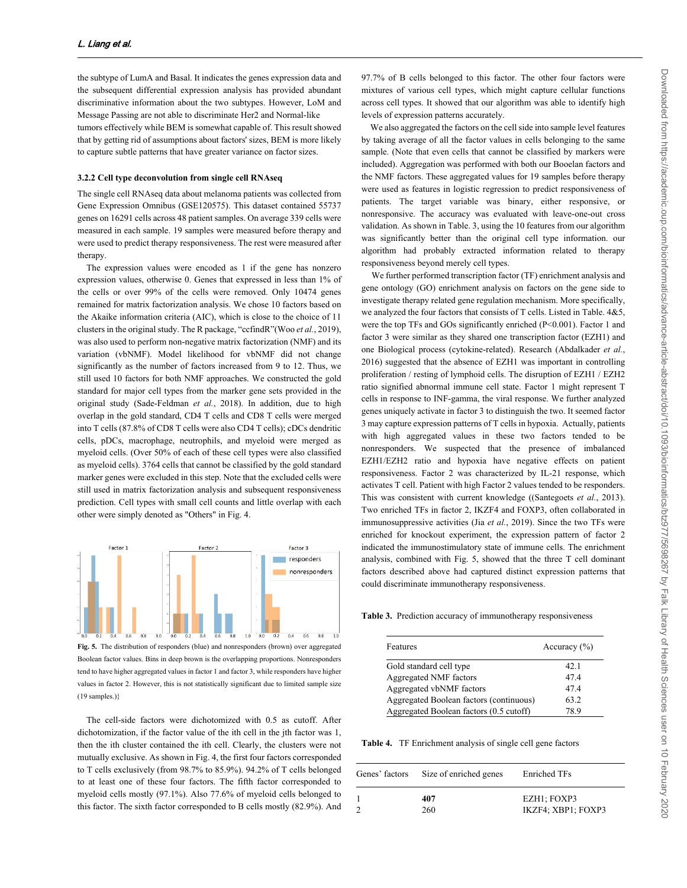the subtype of LumA and Basal. It indicates the genes expression data and the subsequent differential expression analysis has provided abundant discriminative information about the two subtypes. However, LoM and Message Passing are not able to discriminate Her2 and Normal-like tumors effectively while BEM is somewhat capable of. This result showed that by getting rid of assumptions about factors' sizes, BEM is more likely to capture subtle patterns that have greater variance on factor sizes.

#### **3.2.2 Cell type deconvolution from single cell RNAseq**

The single cell RNAseq data about melanoma patients was collected from Gene Expression Omnibus (GSE120575). This dataset contained 55737 genes on 16291 cells across 48 patient samples. On average 339 cells were measured in each sample. 19 samples were measured before therapy and were used to predict therapy responsiveness. The rest were measured after therapy.

 The expression values were encoded as 1 if the gene has nonzero expression values, otherwise 0. Genes that expressed in less than 1% of the cells or over 99% of the cells were removed. Only 10474 genes remained for matrix factorization analysis. We chose 10 factors based on the Akaike information criteria (AIC), which is close to the choice of 11 clusters in the original study. The R package, "ccfindR"(Woo *et al.*, 2019), was also used to perform non-negative matrix factorization (NMF) and its variation (vbNMF). Model likelihood for vbNMF did not change significantly as the number of factors increased from 9 to 12. Thus, we still used 10 factors for both NMF approaches. We constructed the gold standard for major cell types from the marker gene sets provided in the original study (Sade-Feldman *et al.*, 2018). In addition, due to high overlap in the gold standard, CD4 T cells and CD8 T cells were merged into T cells (87.8% of CD8 T cells were also CD4 T cells); cDCs dendritic cells, pDCs, macrophage, neutrophils, and myeloid were merged as myeloid cells. (Over 50% of each of these cell types were also classified as myeloid cells). 3764 cells that cannot be classified by the gold standard marker genes were excluded in this step. Note that the excluded cells were still used in matrix factorization analysis and subsequent responsiveness prediction. Cell types with small cell counts and little overlap with each other were simply denoted as "Others" in Fig. 4.



**Fig. 5.** The distribution of responders (blue) and nonresponders (brown) over aggregated Boolean factor values. Bins in deep brown is the overlapping proportions. Nonresponders tend to have higher aggregated values in factor 1 and factor 3, while responders have higher values in factor 2. However, this is not statistically significant due to limited sample size (19 samples.)}

 The cell-side factors were dichotomized with 0.5 as cutoff. After dichotomization, if the factor value of the ith cell in the jth factor was 1, then the ith cluster contained the ith cell. Clearly, the clusters were not mutually exclusive. As shown in Fig. 4, the first four factors corresponded to T cells exclusively (from 98.7% to 85.9%). 94.2% of T cells belonged to at least one of these four factors. The fifth factor corresponded to myeloid cells mostly (97.1%). Also 77.6% of myeloid cells belonged to this factor. The sixth factor corresponded to B cells mostly (82.9%). And

97.7% of B cells belonged to this factor. The other four factors were mixtures of various cell types, which might capture cellular functions across cell types. It showed that our algorithm was able to identify high levels of expression patterns accurately.

 We also aggregated the factors on the cell side into sample level features by taking average of all the factor values in cells belonging to the same sample. (Note that even cells that cannot be classified by markers were included). Aggregation was performed with both our Booelan factors and the NMF factors. These aggregated values for 19 samples before therapy were used as features in logistic regression to predict responsiveness of patients. The target variable was binary, either responsive, or nonresponsive. The accuracy was evaluated with leave-one-out cross validation. As shown in Table. 3, using the 10 features from our algorithm was significantly better than the original cell type information. our algorithm had probably extracted information related to therapy responsiveness beyond merely cell types.

We further performed transcription factor (TF) enrichment analysis and gene ontology (GO) enrichment analysis on factors on the gene side to investigate therapy related gene regulation mechanism. More specifically, we analyzed the four factors that consists of T cells. Listed in Table. 4&5, were the top TFs and GOs significantly enriched (P<0.001). Factor 1 and factor 3 were similar as they shared one transcription factor (EZH1) and one Biological process (cytokine-related). Research (Abdalkader *et al.*, 2016) suggested that the absence of EZH1 was important in controlling proliferation / resting of lymphoid cells. The disruption of EZH1 / EZH2 ratio signified abnormal immune cell state. Factor 1 might represent T cells in response to INF-gamma, the viral response. We further analyzed genes uniquely activate in factor 3 to distinguish the two. It seemed factor 3 may capture expression patterns of T cells in hypoxia. Actually, patients with high aggregated values in these two factors tended to be nonresponders. We suspected that the presence of imbalanced EZH1/EZH2 ratio and hypoxia have negative effects on patient responsiveness. Factor 2 was characterized by IL-21 response, which activates T cell. Patient with high Factor 2 values tended to be responders. This was consistent with current knowledge ((Santegoets *et al.*, 2013). Two enriched TFs in factor 2, IKZF4 and FOXP3, often collaborated in immunosuppressive activities (Jia *et al.*, 2019). Since the two TFs were enriched for knockout experiment, the expression pattern of factor 2 indicated the immunostimulatory state of immune cells. The enrichment analysis, combined with Fig. 5, showed that the three T cell dominant factors described above had captured distinct expression patterns that could discriminate immunotherapy responsiveness.

**Table 3.** Prediction accuracy of immunotherapy responsiveness

| Features                                | Accuracy $(\% )$ |
|-----------------------------------------|------------------|
| Gold standard cell type                 | 42.1             |
| Aggregated NMF factors                  | 474              |
| Aggregated vbNMF factors                | 474              |
| Aggregated Boolean factors (continuous) | 63.2             |
| Aggregated Boolean factors (0.5 cutoff) | 78 9             |

**Table 4.** TF Enrichment analysis of single cell gene factors

| Genes' factors | Size of enriched genes | <b>Enriched TFs</b>               |
|----------------|------------------------|-----------------------------------|
|                | 407<br>260             | EZH1; FOXP3<br>IKZF4; XBP1; FOXP3 |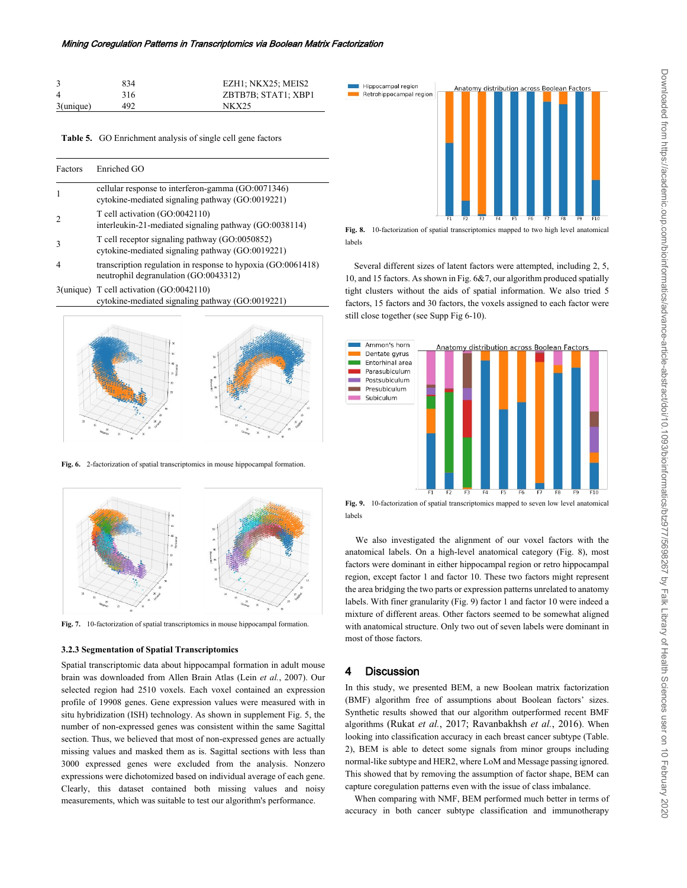|                | 834 | EZH1; NKX25; MEIS2  |
|----------------|-----|---------------------|
| $\overline{4}$ | 316 | ZBTB7B; STAT1; XBP1 |
| 3(unique)      | 492 | NK X 25             |

**Table 5.** GO Enrichment analysis of single cell gene factors

| Factors | Enriched GO                                                                                            |
|---------|--------------------------------------------------------------------------------------------------------|
|         | cellular response to interferon-gamma (GO:0071346)<br>cytokine-mediated signaling pathway (GO:0019221) |
|         | T cell activation (GO:0042110)<br>interleukin-21-mediated signaling pathway (GO:0038114)               |
|         | T cell receptor signaling pathway (GO:0050852)<br>cytokine-mediated signaling pathway (GO:0019221)     |
| 4       | transcription regulation in response to hypoxia (GO:0061418)<br>neutrophil degranulation (GO:0043312)  |
|         | $3$ (unique) T cell activation $(GO:0042110)$                                                          |





**Fig. 6.** 2-factorization of spatial transcriptomics in mouse hippocampal formation.



**Fig. 7.** 10-factorization of spatial transcriptomics in mouse hippocampal formation.

#### **3.2.3 Segmentation of Spatial Transcriptomics**

Spatial transcriptomic data about hippocampal formation in adult mouse brain was downloaded from Allen Brain Atlas (Lein *et al.*, 2007). Our selected region had 2510 voxels. Each voxel contained an expression profile of 19908 genes. Gene expression values were measured with in situ hybridization (ISH) technology. As shown in supplement Fig. 5, the number of non-expressed genes was consistent within the same Sagittal section. Thus, we believed that most of non-expressed genes are actually missing values and masked them as is. Sagittal sections with less than 3000 expressed genes were excluded from the analysis. Nonzero expressions were dichotomized based on individual average of each gene. Clearly, this dataset contained both missing values and noisy measurements, which was suitable to test our algorithm's performance.



**Fig. 8.** 10-factorization of spatial transcriptomics mapped to two high level anatomical labels

 Several different sizes of latent factors were attempted, including 2, 5, 10, and 15 factors. As shown in Fig. 6&7, our algorithm produced spatially tight clusters without the aids of spatial information. We also tried 5 factors, 15 factors and 30 factors, the voxels assigned to each factor were still close together (see Supp Fig 6-10).



**Fig. 9.** 10-factorization of spatial transcriptomics mapped to seven low level anatomical labels

We also investigated the alignment of our voxel factors with the anatomical labels. On a high-level anatomical category (Fig. 8), most factors were dominant in either hippocampal region or retro hippocampal region, except factor 1 and factor 10. These two factors might represent the area bridging the two parts or expression patterns unrelated to anatomy labels. With finer granularity (Fig. 9) factor 1 and factor 10 were indeed a mixture of different areas. Other factors seemed to be somewhat aligned with anatomical structure. Only two out of seven labels were dominant in most of those factors.

#### **4 Discussion**

In this study, we presented BEM, a new Boolean matrix factorization (BMF) algorithm free of assumptions about Boolean factors' sizes. Synthetic results showed that our algorithm outperformed recent BMF algorithms (Rukat *et al.*, 2017; Ravanbakhsh *et al.*, 2016). When looking into classification accuracy in each breast cancer subtype (Table. 2), BEM is able to detect some signals from minor groups including normal-like subtype and HER2, where LoM and Message passing ignored. This showed that by removing the assumption of factor shape, BEM can capture coregulation patterns even with the issue of class imbalance.

When comparing with NMF, BEM performed much better in terms of accuracy in both cancer subtype classification and immunotherapy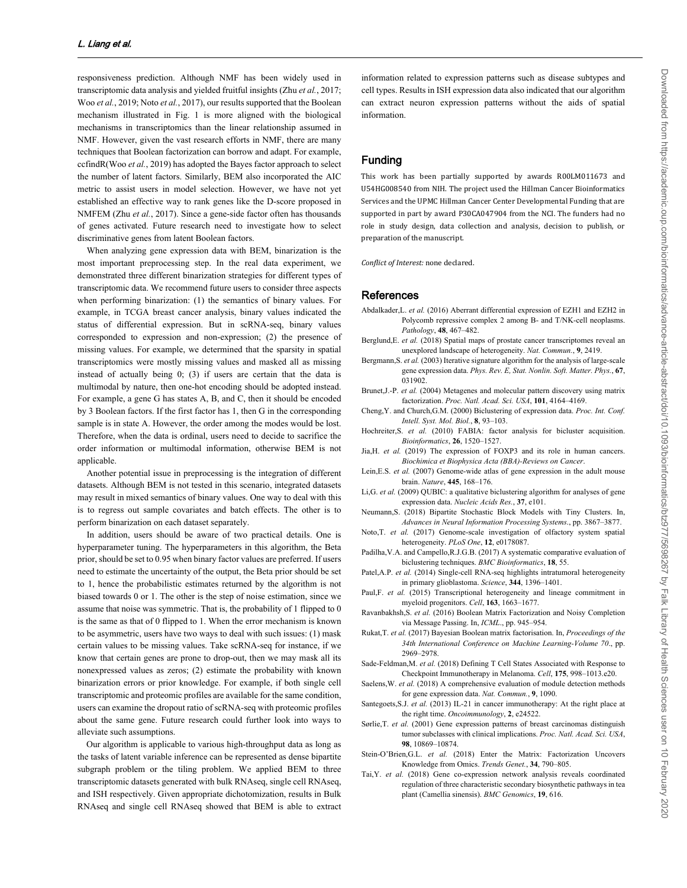responsiveness prediction. Although NMF has been widely used in transcriptomic data analysis and yielded fruitful insights (Zhu *et al.*, 2017; Woo *et al.*, 2019; Noto *et al.*, 2017), our results supported that the Boolean mechanism illustrated in Fig. 1 is more aligned with the biological mechanisms in transcriptomics than the linear relationship assumed in NMF. However, given the vast research efforts in NMF, there are many techniques that Boolean factorization can borrow and adapt. For example, ccfindR(Woo *et al.*, 2019) has adopted the Bayes factor approach to select the number of latent factors. Similarly, BEM also incorporated the AIC metric to assist users in model selection. However, we have not yet established an effective way to rank genes like the D-score proposed in NMFEM (Zhu *et al.*, 2017). Since a gene-side factor often has thousands of genes activated. Future research need to investigate how to select discriminative genes from latent Boolean factors.

When analyzing gene expression data with BEM, binarization is the most important preprocessing step. In the real data experiment, we demonstrated three different binarization strategies for different types of transcriptomic data. We recommend future users to consider three aspects when performing binarization: (1) the semantics of binary values. For example, in TCGA breast cancer analysis, binary values indicated the status of differential expression. But in scRNA-seq, binary values corresponded to expression and non-expression; (2) the presence of missing values. For example, we determined that the sparsity in spatial transcriptomics were mostly missing values and masked all as missing instead of actually being 0; (3) if users are certain that the data is multimodal by nature, then one-hot encoding should be adopted instead. For example, a gene G has states A, B, and C, then it should be encoded by 3 Boolean factors. If the first factor has 1, then G in the corresponding sample is in state A. However, the order among the modes would be lost. Therefore, when the data is ordinal, users need to decide to sacrifice the order information or multimodal information, otherwise BEM is not applicable.

Another potential issue in preprocessing is the integration of different datasets. Although BEM is not tested in this scenario, integrated datasets may result in mixed semantics of binary values. One way to deal with this is to regress out sample covariates and batch effects. The other is to perform binarization on each dataset separately.

In addition, users should be aware of two practical details. One is hyperparameter tuning. The hyperparameters in this algorithm, the Beta prior, should be set to 0.95 when binary factor values are preferred. If users need to estimate the uncertainty of the output, the Beta prior should be set to 1, hence the probabilistic estimates returned by the algorithm is not biased towards 0 or 1. The other is the step of noise estimation, since we assume that noise was symmetric. That is, the probability of 1 flipped to 0 is the same as that of 0 flipped to 1. When the error mechanism is known to be asymmetric, users have two ways to deal with such issues: (1) mask certain values to be missing values. Take scRNA-seq for instance, if we know that certain genes are prone to drop-out, then we may mask all its nonexpressed values as zeros; (2) estimate the probability with known binarization errors or prior knowledge. For example, if both single cell transcriptomic and proteomic profiles are available for the same condition, users can examine the dropout ratio of scRNA-seq with proteomic profiles about the same gene. Future research could further look into ways to alleviate such assumptions.

 Our algorithm is applicable to various high-throughput data as long as the tasks of latent variable inference can be represented as dense bipartite subgraph problem or the tiling problem. We applied BEM to three transcriptomic datasets generated with bulk RNAseq, single cell RNAseq, and ISH respectively. Given appropriate dichotomization, results in Bulk RNAseq and single cell RNAseq showed that BEM is able to extract

information related to expression patterns such as disease subtypes and cell types. Results in ISH expression data also indicated that our algorithm can extract neuron expression patterns without the aids of spatial information.

## **Funding**

This work has been partially supported by awards R00LM011673 and U54HG008540 from NIH. The project used the Hillman Cancer Bioinformatics Services and the UPMC Hillman Cancer Center Developmental Funding that are supported in part by award P30CA047904 from the NCI. The funders had no role in study design, data collection and analysis, decision to publish, or preparation of the manuscript.

*Conflict of Interest:* none declared.

#### **References**

- Abdalkader,L. *et al.* (2016) Aberrant differential expression of EZH1 and EZH2 in Polycomb repressive complex 2 among B- and T/NK-cell neoplasms. *Pathology*, **48**, 467–482.
- Berglund,E. *et al.* (2018) Spatial maps of prostate cancer transcriptomes reveal an unexplored landscape of heterogeneity. *Nat. Commun.*, **9**, 2419.
- Bergmann,S. *et al.* (2003) Iterative signature algorithm for the analysis of large-scale gene expression data. *Phys. Rev. E, Stat. Nonlin. Soft. Matter. Phys.*, **67**, 031902.
- Brunet,J.-P. *et al.* (2004) Metagenes and molecular pattern discovery using matrix factorization. *Proc. Natl. Acad. Sci. USA*, **101**, 4164–4169.
- Cheng,Y. and Church,G.M. (2000) Biclustering of expression data. *Proc. Int. Conf. Intell. Syst. Mol. Biol.*, **8**, 93–103.
- Hochreiter, S. et al. (2010) FABIA: factor analysis for bicluster acquisition. *Bioinformatics*, **26**, 1520–1527.
- Jia,H. *et al.* (2019) The expression of FOXP3 and its role in human cancers. *Biochimica et Biophysica Acta (BBA)-Reviews on Cancer*.
- Lein,E.S. *et al.* (2007) Genome-wide atlas of gene expression in the adult mouse brain. *Nature*, **445**, 168–176.
- Li,G. *et al.* (2009) QUBIC: a qualitative biclustering algorithm for analyses of gene expression data. *Nucleic Acids Res.*, **37**, e101.
- Neumann,S. (2018) Bipartite Stochastic Block Models with Tiny Clusters. In, *Advances in Neural Information Processing Systems*., pp. 3867–3877.
- Noto,T. *et al.* (2017) Genome-scale investigation of olfactory system spatial heterogeneity. *PLoS One*, **12**, e0178087.
- Padilha,V.A. and Campello,R.J.G.B. (2017) A systematic comparative evaluation of biclustering techniques. *BMC Bioinformatics*, **18**, 55.
- Patel, A.P. *et al.* (2014) Single-cell RNA-seq highlights intratumoral heterogeneity in primary glioblastoma. *Science*, **344**, 1396–1401.
- Paul,F. et al. (2015) Transcriptional heterogeneity and lineage commitment in myeloid progenitors. *Cell*, **163**, 1663–1677.
- Ravanbakhsh,S. *et al.* (2016) Boolean Matrix Factorization and Noisy Completion via Message Passing. In, *ICML*., pp. 945–954.
- Rukat,T. *et al.* (2017) Bayesian Boolean matrix factorisation. In, *Proceedings of the 34th International Conference on Machine Learning-Volume 70*., pp. 2969–2978.
- Sade-Feldman,M. *et al.* (2018) Defining T Cell States Associated with Response to Checkpoint Immunotherapy in Melanoma. *Cell*, **175**, 998–1013.e20.
- Saelens, W. et al. (2018) A comprehensive evaluation of module detection methods for gene expression data. *Nat. Commun.*, **9**, 1090.
- Santegoets, S.J. *et al.* (2013) IL-21 in cancer immunotherapy: At the right place at the right time. *Oncoimmunology*, **2**, e24522.
- Sørlie,T. *et al.* (2001) Gene expression patterns of breast carcinomas distinguish tumor subclasses with clinical implications. *Proc. Natl. Acad. Sci. USA*, **98**, 10869–10874.
- Stein-O'Brien, G.L. et al. (2018) Enter the Matrix: Factorization Uncovers Knowledge from Omics. *Trends Genet.*, **34**, 790–805.
- Tai,Y. *et al.* (2018) Gene co-expression network analysis reveals coordinated regulation of three characteristic secondary biosynthetic pathways in tea plant (Camellia sinensis). *BMC Genomics*, **19**, 616.